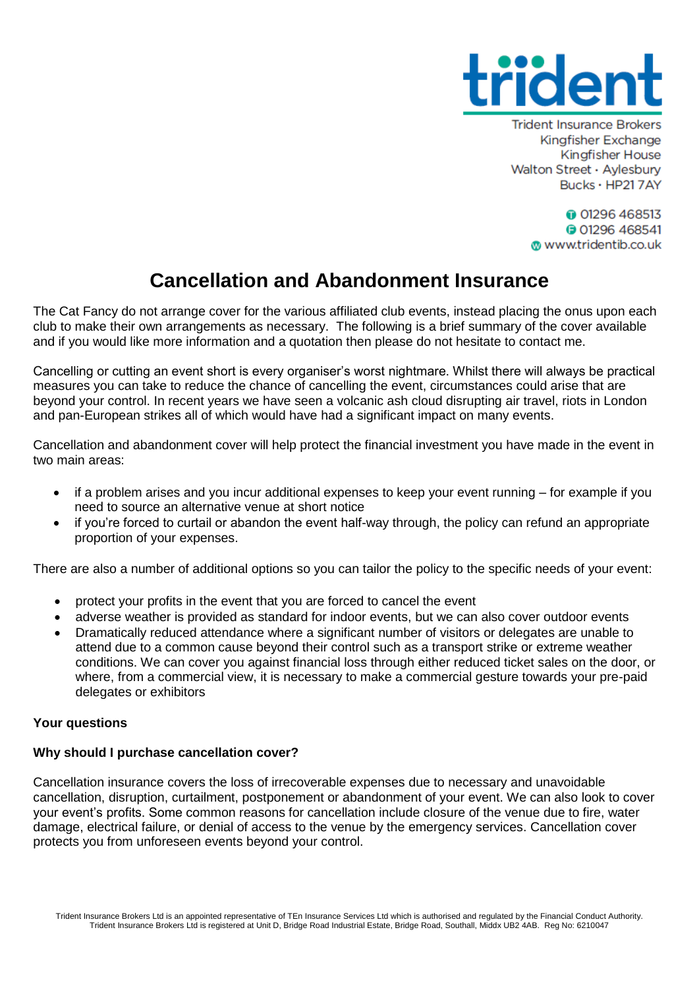

**Trident Insurance Brokers** Kingfisher Exchange **Kingfisher House** Walton Street · Aylesbury Bucks · HP217AY

> **001296468513 001296468541** www.tridentib.co.uk

# **Cancellation and Abandonment Insurance**

The Cat Fancy do not arrange cover for the various affiliated club events, instead placing the onus upon each club to make their own arrangements as necessary. The following is a brief summary of the cover available and if you would like more information and a quotation then please do not hesitate to contact me.

Cancelling or cutting an event short is every organiser's worst nightmare. Whilst there will always be practical measures you can take to reduce the chance of cancelling the event, circumstances could arise that are beyond your control. In recent years we have seen a volcanic ash cloud disrupting air travel, riots in London and pan-European strikes all of which would have had a significant impact on many events.

Cancellation and abandonment cover will help protect the financial investment you have made in the event in two main areas:

- if a problem arises and you incur additional expenses to keep your event running for example if you need to source an alternative venue at short notice
- if you're forced to curtail or abandon the event half-way through, the policy can refund an appropriate proportion of your expenses.

There are also a number of additional options so you can tailor the policy to the specific needs of your event:

- protect your profits in the event that you are forced to cancel the event
- adverse weather is provided as standard for indoor events, but we can also cover outdoor events
- Dramatically reduced attendance where a significant number of visitors or delegates are unable to attend due to a common cause beyond their control such as a transport strike or extreme weather conditions. We can cover you against financial loss through either reduced ticket sales on the door, or where, from a commercial view, it is necessary to make a commercial gesture towards your pre-paid delegates or exhibitors

# **Your questions**

# **Why should I purchase cancellation cover?**

Cancellation insurance covers the loss of irrecoverable expenses due to necessary and unavoidable cancellation, disruption, curtailment, postponement or abandonment of your event. We can also look to cover your event's profits. Some common reasons for cancellation include closure of the venue due to fire, water damage, electrical failure, or denial of access to the venue by the emergency services. Cancellation cover protects you from unforeseen events beyond your control.